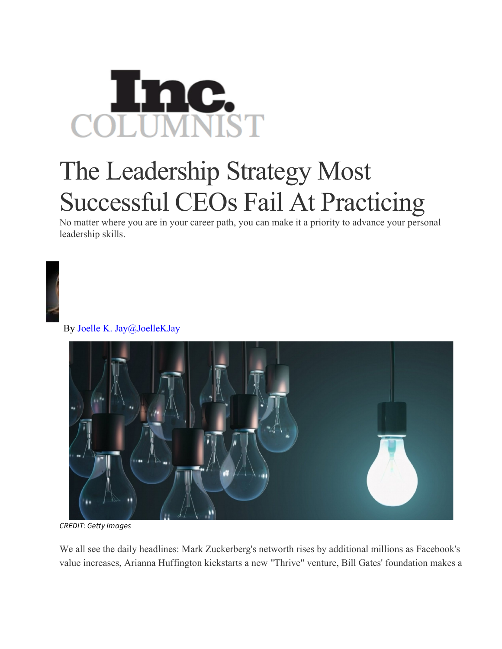

## The Leadership Strategy Most Successful CEOs Fail At Practicing

No matter where you are in your career path, you can make it a priority to advance your personal leadership skills.



By Joelle K. Jay@JoelleKJay



*CREDIT: Getty Images*

We all see the daily headlines: Mark Zuckerberg's networth rises by additional millions as Facebook's value increases, Arianna Huffington kickstarts a new "Thrive" venture, Bill Gates' foundation makes a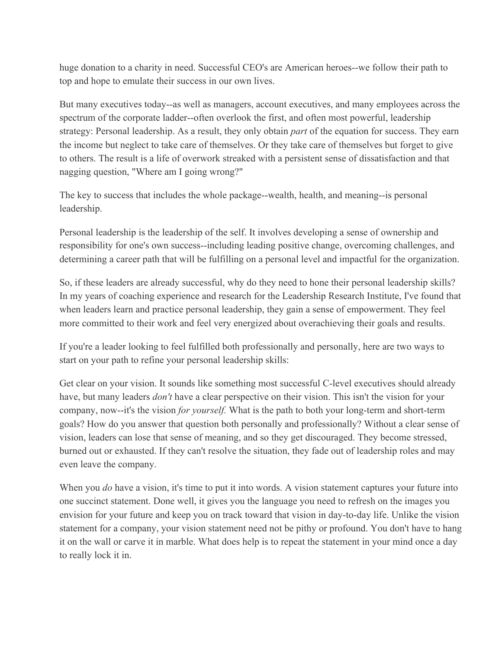huge donation to a charity in need. Successful CEO's are American heroes--we follow their path to top and hope to emulate their success in our own lives.

But many executives today--as well as managers, account executives, and many employees across the spectrum of the corporate ladder--often overlook the first, and often most powerful, leadership strategy: Personal leadership. As a result, they only obtain *part* of the equation for success. They earn the income but neglect to take care of themselves. Or they take care of themselves but forget to give to others. The result is a life of overwork streaked with a persistent sense of dissatisfaction and that nagging question, "Where am I going wrong?"

The key to success that includes the whole package--wealth, health, and meaning--is personal leadership.

Personal leadership is the leadership of the self. It involves developing a sense of ownership and responsibility for one's own success--including leading positive change, overcoming challenges, and determining a career path that will be fulfilling on a personal level and impactful for the organization.

So, if these leaders are already successful, why do they need to hone their personal leadership skills? In my years of coaching experience and research for the Leadership Research Institute, I've found that when leaders learn and practice personal leadership, they gain a sense of empowerment. They feel more committed to their work and feel very energized about overachieving their goals and results.

If you're a leader looking to feel fulfilled both professionally and personally, here are two ways to start on your path to refine your personal leadership skills:

Get clear on your vision. It sounds like something most successful C-level executives should already have, but many leaders *don't* have a clear perspective on their vision. This isn't the vision for your company, now--it's the vision *for yourself.* What is the path to both your long-term and short-term goals? How do you answer that question both personally and professionally? Without a clear sense of vision, leaders can lose that sense of meaning, and so they get discouraged. They become stressed, burned out or exhausted. If they can't resolve the situation, they fade out of leadership roles and may even leave the company.

When you *do* have a vision, it's time to put it into words. A vision statement captures your future into one succinct statement. Done well, it gives you the language you need to refresh on the images you envision for your future and keep you on track toward that vision in day-to-day life. Unlike the vision statement for a company, your vision statement need not be pithy or profound. You don't have to hang it on the wall or carve it in marble. What does help is to repeat the statement in your mind once a day to really lock it in.